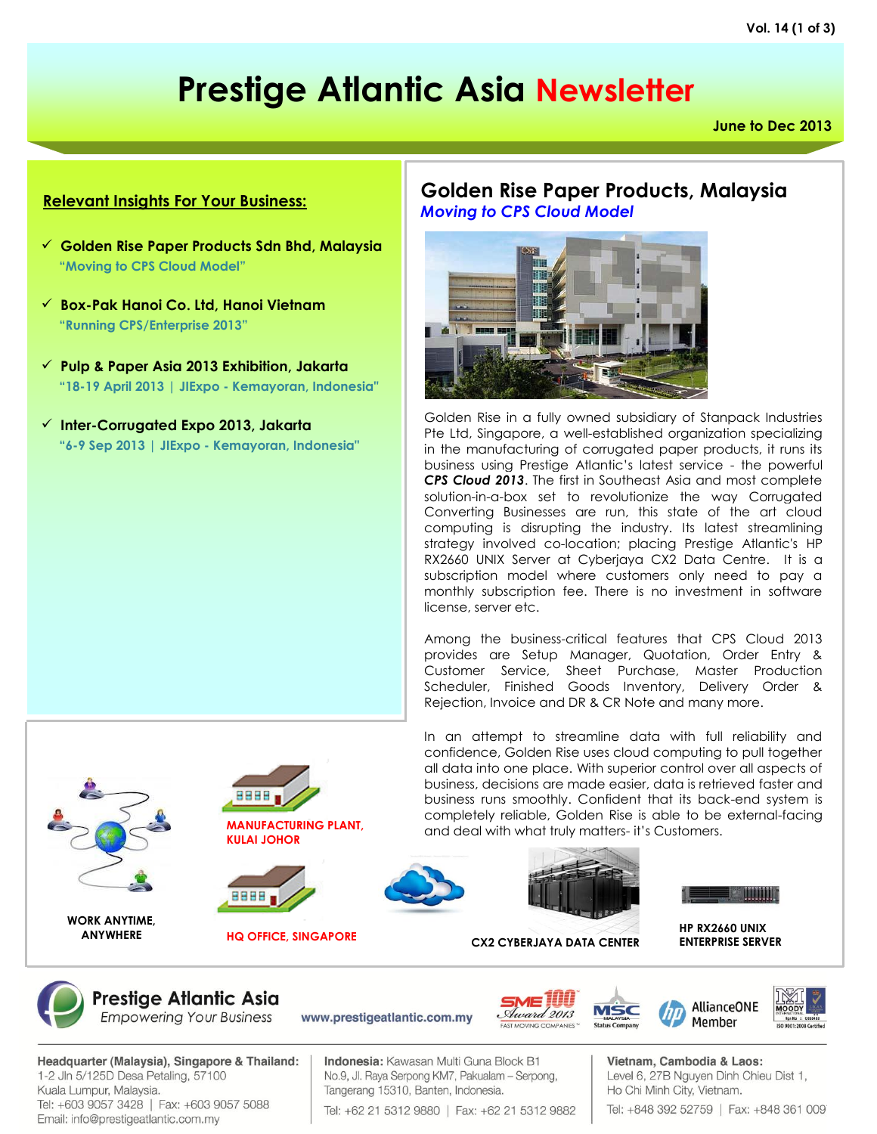# **Prestige Atlantic Asia Newsletter**

**June to Dec 2013**

#### **Relevant Insights For Your Business:**

- **Golden Rise Paper Products Sdn Bhd, Malaysia "Moving to CPS Cloud Model"**
- **Box-Pak Hanoi Co. Ltd, Hanoi Vietnam "Running CPS/Enterprise 2013"**
- **Pulp & Paper Asia 2013 Exhibition, Jakarta "18-19 April 2013 | JIExpo - Kemayoran, Indonesia"**
- **Inter-Corrugated Expo 2013, Jakarta "6-9 Sep 2013 | JIExpo - Kemayoran, Indonesia"**



**MANUFACTURING PLANT, KULAI JOHOR**











**HQ OFFICE, SINGAPORE HP RX2660 UNIX** 



**Prestige Atlantic Asia Empowering Your Business** 

Headquarter (Malaysia), Singapore & Thailand: 1-2 Jln 5/125D Desa Petaling, 57100 Kuala Lumpur, Malaysia. Tel: +603 9057 3428 | Fax: +603 9057 5088 Email: info@prestigeatlantic.com.my

Indonesia: Kawasan Multi Guna Block B1 No.9, Jl. Raya Serpong KM7, Pakualam - Serpong, Tangerang 15310, Banten, Indonesia.

www.prestigeatlantic.com.my

Tel: +62 21 5312 9880 | Fax: +62 21 5312 9882

**Golden Rise Paper Products, Malaysia** *Moving to CPS Cloud Model*



Golden Rise in a fully owned subsidiary of Stanpack Industries Pte Ltd, Singapore, a well-established organization specializing in the manufacturing of corrugated paper products, it runs its business using Prestige Atlantic's latest service - the powerful *CPS Cloud 2013*. The first in Southeast Asia and most complete solution-in-a-box set to revolutionize the way Corrugated Converting Businesses are run, this state of the art cloud computing is disrupting the industry. Its latest streamlining strategy involved co-location; placing Prestige Atlantic's HP RX2660 UNIX Server at Cyberjaya CX2 Data Centre. It is a subscription model where customers only need to pay a monthly subscription fee. There is no investment in software license, server etc.

Among the business-critical features that CPS Cloud 2013 provides are Setup Manager, Quotation, Order Entry & Customer Service, Sheet Purchase, Master Production Scheduler, Finished Goods Inventory, Delivery Order & Rejection, Invoice and DR & CR Note and many more.

> Vietnam, Cambodia & Laos: Level 6, 27B Nguyen Dinh Chieu Dist 1, Ho Chi Minh City, Vietnam. Tel: +848 392 52759 | Fax: +848 361 009







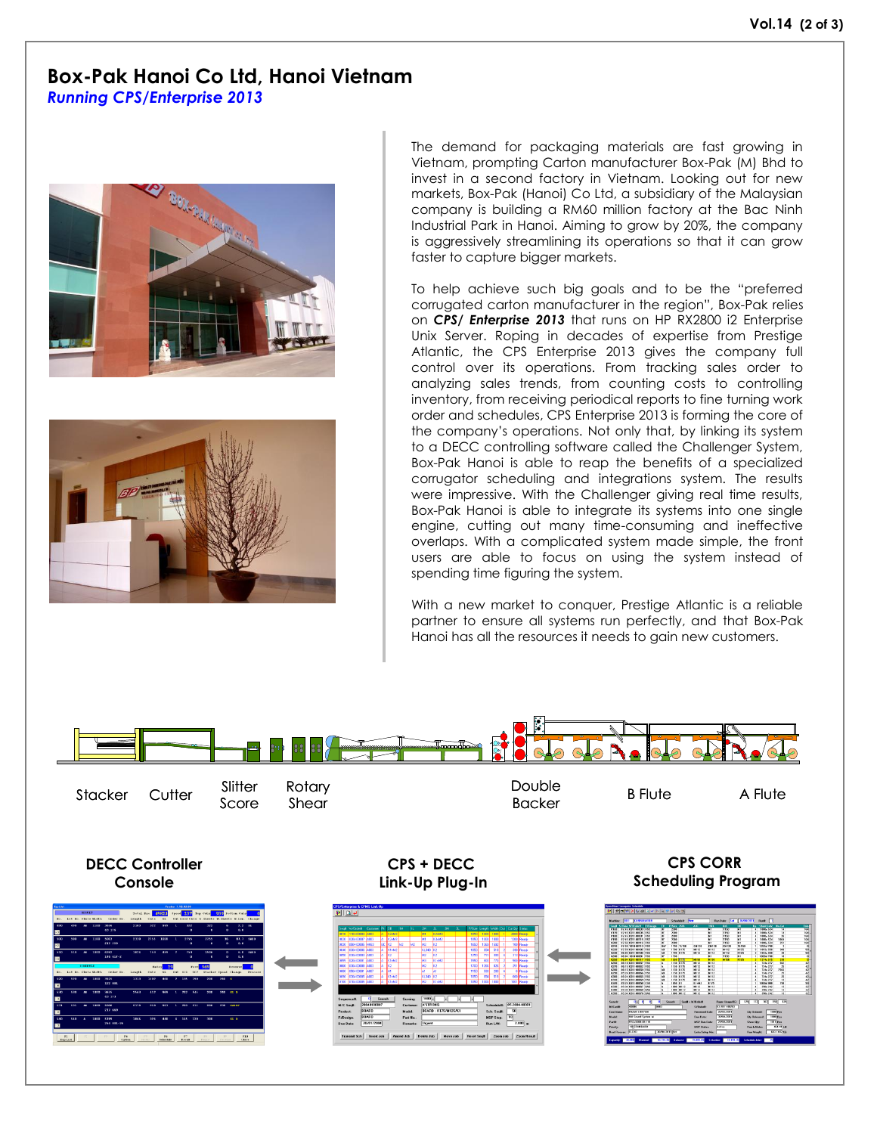#### **Box-Pak Hanoi Co Ltd, Hanoi Vietnam** *Running CPS/Enterprise 2013*





The demand for packaging materials are fast growing in Vietnam, prompting Carton manufacturer Box-Pak (M) Bhd to invest in a second factory in Vietnam. Looking out for new markets, Box-Pak (Hanoi) Co Ltd, a subsidiary of the Malaysian company is building a RM60 million factory at the Bac Ninh Industrial Park in Hanoi. Aiming to grow by 20%, the company is aggressively streamlining its operations so that it can grow faster to capture bigger markets.

To help achieve such big goals and to be the "preferred corrugated carton manufacturer in the region", Box-Pak relies on *CPS/ Enterprise 2013* that runs on HP RX2800 i2 Enterprise Unix Server. Roping in decades of expertise from Prestige Atlantic, the CPS Enterprise 2013 gives the company full control over its operations. From tracking sales order to analyzing sales trends, from counting costs to controlling inventory, from receiving periodical reports to fine turning work order and schedules, CPS Enterprise 2013 is forming the core of the company's operations. Not only that, by linking its system to a DECC controlling software called the Challenger System, Box-Pak Hanoi is able to reap the benefits of a specialized corrugator scheduling and integrations system. The results were impressive. With the Challenger giving real time results, Box-Pak Hanoi is able to integrate its systems into one single engine, cutting out many time-consuming and ineffective overlaps. With a complicated system made simple, the front users are able to focus on using the system instead of spending time figuring the system.

With a new market to conquer, Prestige Atlantic is a reliable partner to ensure all systems run perfectly, and that Box-Pak Hanoi has all the resources it needs to gain new customers.